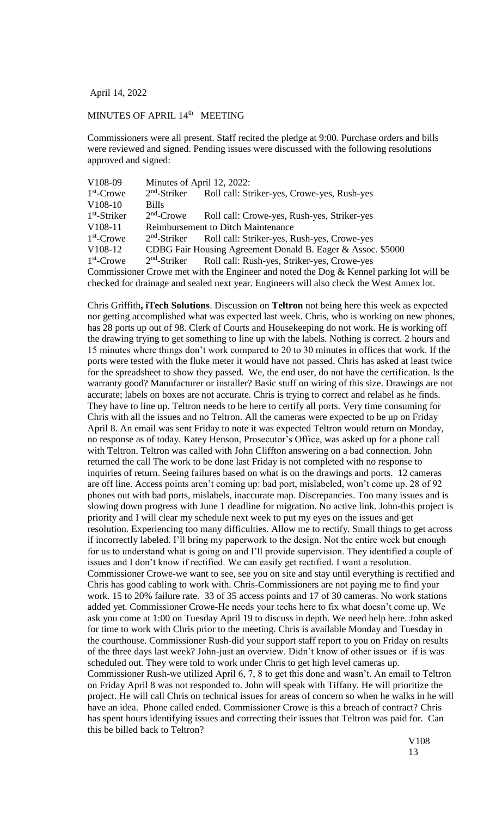April 14, 2022

## MINUTES OF APRIL 14<sup>th</sup> MEETING

Commissioners were all present. Staff recited the pledge at 9:00. Purchase orders and bills were reviewed and signed. Pending issues were discussed with the following resolutions approved and signed:

| $2nd$ -Striker                                                                           | Roll call: Striker-yes, Crowe-yes, Rush-yes                                                |
|------------------------------------------------------------------------------------------|--------------------------------------------------------------------------------------------|
| <b>Bills</b>                                                                             |                                                                                            |
| $2nd$ -Crowe                                                                             | Roll call: Crowe-yes, Rush-yes, Striker-yes                                                |
|                                                                                          | <b>Reimbursement to Ditch Maintenance</b>                                                  |
|                                                                                          | 2 <sup>nd</sup> -Striker Roll call: Striker-yes, Rush-yes, Crowe-yes                       |
|                                                                                          | CDBG Fair Housing Agreement Donald B. Eager & Assoc. \$5000                                |
|                                                                                          | 2 <sup>nd</sup> -Striker Roll call: Rush-yes, Striker-yes, Crowe-yes                       |
|                                                                                          | Commissioner Crowe met with the Engineer and noted the Dog $\&$ Kennel parking lot will be |
| checked for drainage and sealed next year. Engineers will also check the West Annex lot. |                                                                                            |
|                                                                                          | Minutes of April 12, 2022:                                                                 |

Chris Griffith**, iTech Solutions**. Discussion on **Teltron** not being here this week as expected nor getting accomplished what was expected last week. Chris, who is working on new phones, has 28 ports up out of 98. Clerk of Courts and Housekeeping do not work. He is working off the drawing trying to get something to line up with the labels. Nothing is correct. 2 hours and 15 minutes where things don't work compared to 20 to 30 minutes in offices that work. If the ports were tested with the fluke meter it would have not passed. Chris has asked at least twice for the spreadsheet to show they passed. We, the end user, do not have the certification. Is the warranty good? Manufacturer or installer? Basic stuff on wiring of this size. Drawings are not accurate; labels on boxes are not accurate. Chris is trying to correct and relabel as he finds. They have to line up. Teltron needs to be here to certify all ports. Very time consuming for Chris with all the issues and no Teltron. All the cameras were expected to be up on Friday April 8. An email was sent Friday to note it was expected Teltron would return on Monday, no response as of today. Katey Henson, Prosecutor's Office, was asked up for a phone call with Teltron. Teltron was called with John Cliffton answering on a bad connection. John returned the call The work to be done last Friday is not completed with no response to inquiries of return. Seeing failures based on what is on the drawings and ports. 12 cameras are off line. Access points aren't coming up: bad port, mislabeled, won't come up. 28 of 92 phones out with bad ports, mislabels, inaccurate map. Discrepancies. Too many issues and is slowing down progress with June 1 deadline for migration. No active link. John-this project is priority and I will clear my schedule next week to put my eyes on the issues and get resolution. Experiencing too many difficulties. Allow me to rectify. Small things to get across if incorrectly labeled. I'll bring my paperwork to the design. Not the entire week but enough for us to understand what is going on and I'll provide supervision. They identified a couple of issues and I don't know if rectified. We can easily get rectified. I want a resolution. Commissioner Crowe-we want to see, see you on site and stay until everything is rectified and Chris has good cabling to work with. Chris-Commissioners are not paying me to find your work. 15 to 20% failure rate. 33 of 35 access points and 17 of 30 cameras. No work stations added yet. Commissioner Crowe-He needs your techs here to fix what doesn't come up. We ask you come at 1:00 on Tuesday April 19 to discuss in depth. We need help here. John asked for time to work with Chris prior to the meeting. Chris is available Monday and Tuesday in the courthouse. Commissioner Rush-did your support staff report to you on Friday on results of the three days last week? John-just an overview. Didn't know of other issues or if is was scheduled out. They were told to work under Chris to get high level cameras up. Commissioner Rush-we utilized April 6, 7, 8 to get this done and wasn't. An email to Teltron on Friday April 8 was not responded to. John will speak with Tiffany. He will prioritize the project. He will call Chris on technical issues for areas of concern so when he walks in he will have an idea. Phone called ended. Commissioner Crowe is this a breach of contract? Chris has spent hours identifying issues and correcting their issues that Teltron was paid for. Can this be billed back to Teltron?